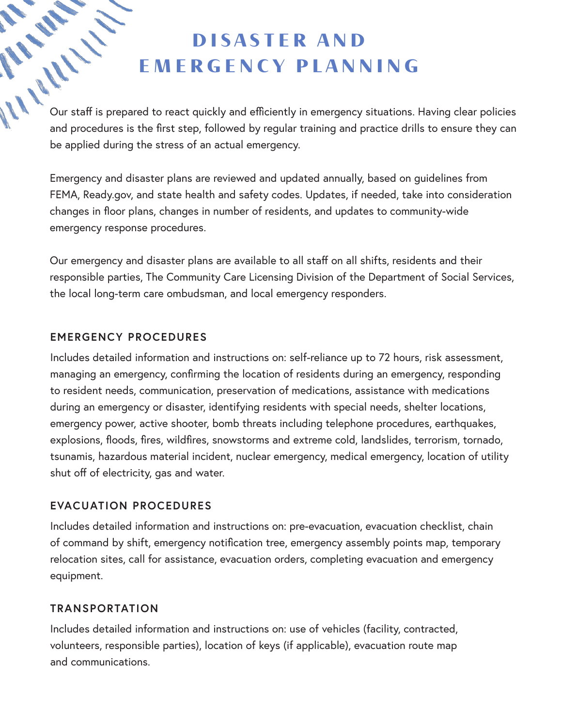# DISASTER AND EMERGENCY PLANNING

**DISASTER AND<br>
EMERGENCY PLANNING**<br>
Our staff is prepared to react quickly and efficiently in emergency situations. Having clear policies<br>
and procedures is the first step followed by and procedures is the first step, followed by regular training and practice drills to ensure they can be applied during the stress of an actual emergency.

Emergency and disaster plans are reviewed and updated annually, based on guidelines from FEMA, Ready.gov, and state health and safety codes. Updates, if needed, take into consideration changes in floor plans, changes in number of residents, and updates to community-wide emergency response procedures.

Our emergency and disaster plans are available to all staff on all shifts, residents and their responsible parties, The Community Care Licensing Division of the Department of Social Services, the local long-term care ombudsman, and local emergency responders.

## **EMERGENCY PROCEDURES**

Includes detailed information and instructions on: self-reliance up to 72 hours, risk assessment, managing an emergency, confirming the location of residents during an emergency, responding to resident needs, communication, preservation of medications, assistance with medications during an emergency or disaster, identifying residents with special needs, shelter locations, emergency power, active shooter, bomb threats including telephone procedures, earthquakes, explosions, floods, fires, wildfires, snowstorms and extreme cold, landslides, terrorism, tornado, tsunamis, hazardous material incident, nuclear emergency, medical emergency, location of utility shut off of electricity, gas and water.

## **EVACUATION PROCEDURES**

Includes detailed information and instructions on: pre-evacuation, evacuation checklist, chain of command by shift, emergency notification tree, emergency assembly points map, temporary relocation sites, call for assistance, evacuation orders, completing evacuation and emergency equipment.

#### **TRANSPORTATION**

Includes detailed information and instructions on: use of vehicles (facility, contracted, volunteers, responsible parties), location of keys (if applicable), evacuation route map and communications.